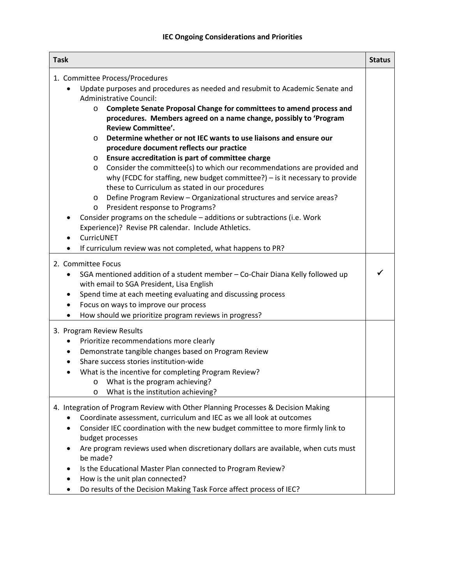| <b>Task</b>                                                                                                                                                                                                                                                                                                                                                                                                                                                                                                                                                                                                                                                                                                                                                                                                                                                                                                                                                                                                                                                                                               | <b>Status</b> |
|-----------------------------------------------------------------------------------------------------------------------------------------------------------------------------------------------------------------------------------------------------------------------------------------------------------------------------------------------------------------------------------------------------------------------------------------------------------------------------------------------------------------------------------------------------------------------------------------------------------------------------------------------------------------------------------------------------------------------------------------------------------------------------------------------------------------------------------------------------------------------------------------------------------------------------------------------------------------------------------------------------------------------------------------------------------------------------------------------------------|---------------|
| 1. Committee Process/Procedures<br>Update purposes and procedures as needed and resubmit to Academic Senate and<br><b>Administrative Council:</b><br>Complete Senate Proposal Change for committees to amend process and<br>$\circ$<br>procedures. Members agreed on a name change, possibly to 'Program<br><b>Review Committee'.</b><br>Determine whether or not IEC wants to use liaisons and ensure our<br>$\circ$<br>procedure document reflects our practice<br>Ensure accreditation is part of committee charge<br>$\circ$<br>Consider the committee(s) to which our recommendations are provided and<br>$\circ$<br>why (FCDC for staffing, new budget committee?) - is it necessary to provide<br>these to Curriculum as stated in our procedures<br>Define Program Review - Organizational structures and service areas?<br>$\circ$<br>President response to Programs?<br>$\circ$<br>Consider programs on the schedule - additions or subtractions (i.e. Work<br>Experience)? Revise PR calendar. Include Athletics.<br>CurricUNET<br>If curriculum review was not completed, what happens to PR? |               |
| 2. Committee Focus<br>SGA mentioned addition of a student member - Co-Chair Diana Kelly followed up<br>with email to SGA President, Lisa English<br>Spend time at each meeting evaluating and discussing process<br>٠<br>Focus on ways to improve our process<br>How should we prioritize program reviews in progress?                                                                                                                                                                                                                                                                                                                                                                                                                                                                                                                                                                                                                                                                                                                                                                                    |               |
| 3. Program Review Results<br>Prioritize recommendations more clearly<br>٠<br>Demonstrate tangible changes based on Program Review<br>٠<br>Share success stories institution-wide<br>What is the incentive for completing Program Review?<br>What is the program achieving?<br>O<br>What is the institution achieving?<br>$\circ$                                                                                                                                                                                                                                                                                                                                                                                                                                                                                                                                                                                                                                                                                                                                                                          |               |
| 4. Integration of Program Review with Other Planning Processes & Decision Making<br>Coordinate assessment, curriculum and IEC as we all look at outcomes<br>Consider IEC coordination with the new budget committee to more firmly link to<br>budget processes<br>Are program reviews used when discretionary dollars are available, when cuts must<br>be made?<br>Is the Educational Master Plan connected to Program Review?<br>How is the unit plan connected?<br>Do results of the Decision Making Task Force affect process of IEC?                                                                                                                                                                                                                                                                                                                                                                                                                                                                                                                                                                  |               |